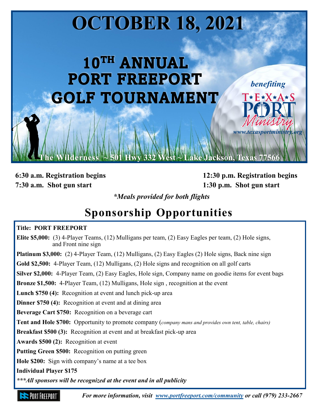# **OCTOBER 18, 2021**

## 10TH ANNUAL **PORT FREEPORT GOLF TOURNAMENT**

**7:30 a.m. Shot gun start 1:30 p.m. Shot gun start**

**6:30 a.m. Registration begins 12:30 p.m. Registration begins**

**Ackson, Texas 7756** 

*benefiting*

T\*F\*X\*A\*S

*www.texasportministry.org*

*\*Meals provided for both flights*

### **Sponsorship Opportunities**

#### **Title: PORT FREEPORT**

**Elite \$5,000:** (3) 4-Player Teams, (12) Mulligans per team, (2) Easy Eagles per team, (2) Hole signs, and Front nine sign **Platinum \$3,000:** (2) 4-Player Team, (12) Mulligans, (2) Easy Eagles (2) Hole signs, Back nine sign **Gold \$2,500:** 4-Player Team, (12) Mulligans, (2) Hole signs and recognition on all golf carts **Silver \$2,000:** 4-Player Team, (2) Easy Eagles, Hole sign, Company name on goodie items for event bags **Bronze \$1,500:** 4-Player Team, (12) Mulligans, Hole sign , recognition at the event **Lunch \$750 (4):** Recognition at event and lunch pick-up area **Dinner \$750 (4):** Recognition at event and at dining area **Beverage Cart \$750:** Recognition on a beverage cart **Tent and Hole \$700:** Opportunity to promote company (*company mans and provides own tent, table, chairs)* **Breakfast \$500 (3):** Recognition at event and at breakfast pick-up area **Awards \$500 (2):** Recognition at event **Putting Green \$500:** Recognition on putting green **Hole \$200:** Sign with company's name at a tee box **Individual Player \$175** *\*\*\*All sponsors will be recognized at the event and in all publicity*

: PORT FRFFPORT

*For more information, visit [www.portfreeport.com/community](http://www.portfreeport.com/events/golf-2019-0) or call (979) 233-2667*